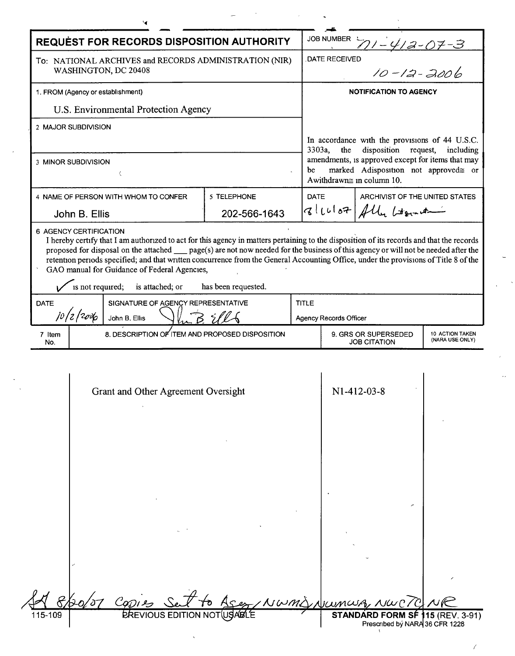$\frac{1}{2}$ 

 $\mathcal{L}_{\text{max}}$ 

 $\hat{\mathcal{A}}$ 

| <b>REQUEST FOR RECORDS DISPOSITION AUTHORITY</b>                               |                                                                                                                                                                                                                                                                |                     |              | JOB NUMBER $71 - 412 - 07 - 3$                                                                                               |                                                                        |           |  |
|--------------------------------------------------------------------------------|----------------------------------------------------------------------------------------------------------------------------------------------------------------------------------------------------------------------------------------------------------------|---------------------|--------------|------------------------------------------------------------------------------------------------------------------------------|------------------------------------------------------------------------|-----------|--|
| To: NATIONAL ARCHIVES and RECORDS ADMINISTRATION (NIR)<br>WASHINGTON, DC 20408 |                                                                                                                                                                                                                                                                |                     |              | $10 - 12 - 3006$<br><b>DATE RECEIVED</b>                                                                                     |                                                                        |           |  |
| 1. FROM (Agency or establishment)                                              |                                                                                                                                                                                                                                                                |                     |              | <b>NOTIFICATION TO AGENCY</b>                                                                                                |                                                                        |           |  |
|                                                                                | U.S. Environmental Protection Agency                                                                                                                                                                                                                           |                     |              |                                                                                                                              |                                                                        |           |  |
|                                                                                | 2 MAJOR SUBDIVISION                                                                                                                                                                                                                                            |                     |              |                                                                                                                              |                                                                        |           |  |
|                                                                                |                                                                                                                                                                                                                                                                |                     | 3303a,       | the                                                                                                                          | In accordance with the provisions of 44 U.S.C.<br>disposition request, | including |  |
| 3 MINOR SUBDIVISION                                                            |                                                                                                                                                                                                                                                                |                     |              | amendments, is approved except for items that may<br>marked Adisposition not approved≅ or<br>be<br>Awithdrawn≅ in column 10. |                                                                        |           |  |
|                                                                                | 4 NAME OF PERSON WITH WHOM TO CONFER                                                                                                                                                                                                                           | 5 TELEPHONE         |              | <b>DATE</b><br>ARCHIVIST OF THE UNITED STATES                                                                                |                                                                        |           |  |
|                                                                                | John B. Ellis                                                                                                                                                                                                                                                  | 202-566-1643        |              | $ q $ (clot $H$ ) fly beaution                                                                                               |                                                                        |           |  |
| <b>DATE</b>                                                                    | retention periods specified; and that written concurrence from the General Accounting Office, under the provisions of Title 8 of the<br>GAO manual for Guidance of Federal Agencies,<br>is not required; is attached; or<br>SIGNATURE OF AGENCY REPRESENTATIVE | has been requested. | <b>TITLE</b> |                                                                                                                              |                                                                        |           |  |
| jo/z/2 <i>ov</i> b<br>John B. Ellis                                            |                                                                                                                                                                                                                                                                |                     |              | Agency Records Officer                                                                                                       |                                                                        |           |  |
| 7 Item<br>No.                                                                  | 8. DESCRIPTION OF ITEM AND PROPOSED DISPOSITION                                                                                                                                                                                                                |                     |              | 9. GRS OR SUPERSEDED<br><b>10 ACTION TAKEN</b><br>(NARA USE ONLY)<br><b>JOB CITATION</b>                                     |                                                                        |           |  |
|                                                                                | Grant and Other Agreement Oversight                                                                                                                                                                                                                            |                     |              |                                                                                                                              | N1-412-03-8                                                            |           |  |
|                                                                                |                                                                                                                                                                                                                                                                |                     |              |                                                                                                                              |                                                                        |           |  |
|                                                                                |                                                                                                                                                                                                                                                                |                     |              | Nami Numa                                                                                                                    |                                                                        |           |  |

 $\mathcal{L}_{\mathcal{L}}$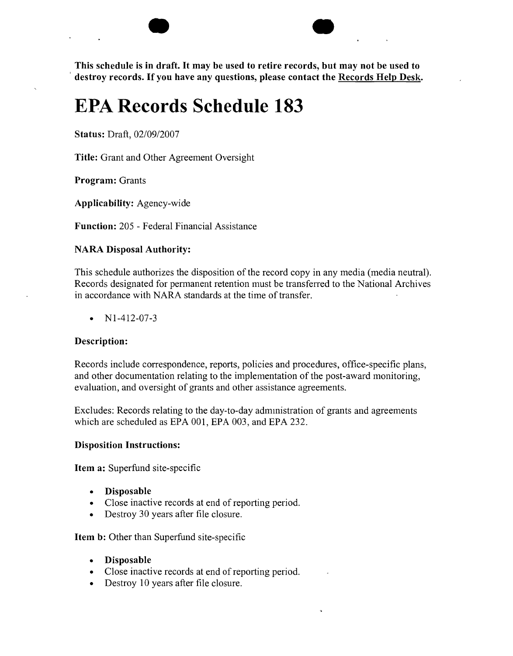$\bullet$ **This schedule is in draft. It may be used to retire records, but may not be used to , destroy records. If you have any questions, please contact the Records Help Desk.**

# **EPA Records Schedule 183**

**Status:** Draft, *02/09/2007*

**Title:** Grant and Other Agreement Oversight

**Program:** Grants

**Applicability:** Agency-wide

**Function:** 205 - Federal Financial Assistance

## **NARA Disposal Authority:**

This schedule authorizes the disposition of the record copy in any media (media neutral). Records designated for permanent retention must be transferred to the National Archives in accordance with NARA standards at the time of transfer.

• Nl-412-07-3

### **Description:**

Records include correspondence, reports, policies and procedures, office-specific plans, and other documentation relating to the implementation of the post-award monitoring, evaluation, and oversight of grants and other assistance agreements.

Excludes: Records relating to the day-to-day administration of grants and agreements which are scheduled as EPA 001, EPA 003, and EPA 232.

### **Disposition Instructions:**

**Item a:** Superfund site-specific

- **Disposable**
- Close inactive records at end of reporting period.
- Destroy 30 years after file closure.

**Item b:** Other than Superfund site-specific

- **Disposable**
- Close inactive records at end of reporting period.
- Destroy 10 years after file closure.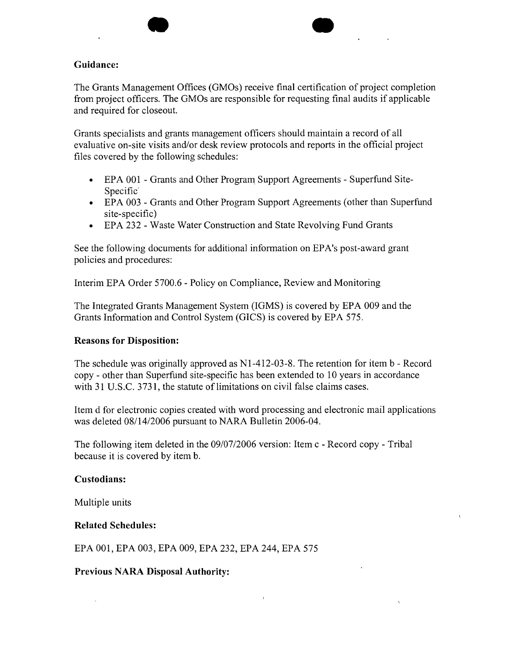## **Guidance:**

The Grants Management Offices (GMOs) receive final certification of project completion from project officers. The GMOs are responsible for requesting final audits if applicable and required for closeout.

 $\bullet$ 

Grants specialists and grants management officers should maintain a record of all evaluative on-site visits and/or desk review protocols and reports in the official project files covered by the following schedules:

- EPA 001 Grants and Other Program Support Agreements Superfund Site-Specific'
- EPA 003 Grants and Other Program Support Agreements (other than Superfund site-specific)
- EPA 232 Waste Water Construction and State Revolving Fund Grants

See the following documents for additional information on EPA's post-award grant policies and procedures:

Interim EPA Order 5700.6 - Policy on Compliance, Review and Monitoring

The Integrated Grants Management System (IGMS) is covered by EPA 009 and the Grants Information and Control System (GICS) is covered by EPA 575.

# **Reasons for Disposition:**

The schedule was originally approved as Nl-412-03-8. The retention for item b - Record copy - other than Superfund site-specific has been extended to 10 years in accordance with 31 U.S.C. 3731, the statute of limitations on civil false claims cases.

Item d for electronic copies created with word processing and electronic mail applications was deleted 08/14/2006 pursuant to NARA Bulletin 2006-04.

The following item deleted in the 09/07/2006 version: Item c - Record copy - Tribal because it is covered by item b.

### **Custodians:**

Multiple units

# **Related Schedules:**

EPA 001, EPA 003, EPA 009, EPA 232, EPA 244, EPA 575

**Previous NARA Disposal Authority:**